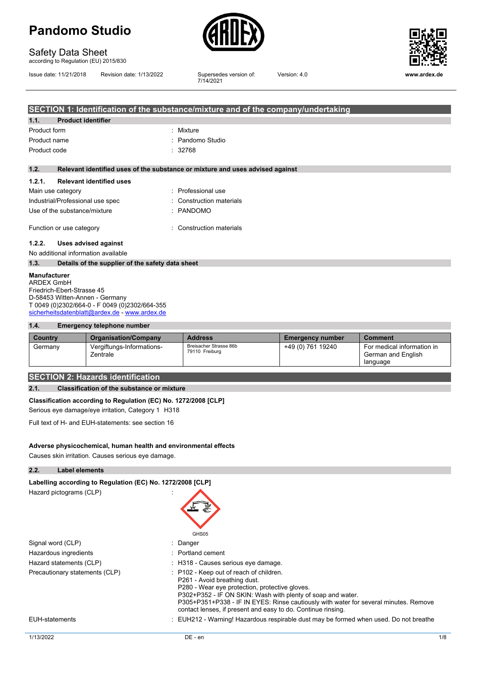

# Safety Data Sheet

according to Regulation (EU) 2015/830

Issue date: 11/21/2018 Revision date: 1/13/2022

Supersedes version of:<br>7/14/2021



Version: 4.0 **www.ardex.de**

|                   | SECTION 1: Identification of the substance/mixture and of the company/undertaking |                                                                               |  |  |  |  |
|-------------------|-----------------------------------------------------------------------------------|-------------------------------------------------------------------------------|--|--|--|--|
| 1.1.              | <b>Product identifier</b>                                                         |                                                                               |  |  |  |  |
| Product form      |                                                                                   | : Mixture                                                                     |  |  |  |  |
| Product name      |                                                                                   | : Pandomo Studio                                                              |  |  |  |  |
| Product code      |                                                                                   | : 32768                                                                       |  |  |  |  |
|                   |                                                                                   |                                                                               |  |  |  |  |
| 1.2.              |                                                                                   | Relevant identified uses of the substance or mixture and uses advised against |  |  |  |  |
| 1.2.1.            | <b>Relevant identified uses</b>                                                   |                                                                               |  |  |  |  |
| Main use category |                                                                                   | : Professional use                                                            |  |  |  |  |
|                   | Industrial/Professional use spec                                                  | : Construction materials                                                      |  |  |  |  |
|                   | Use of the substance/mixture                                                      | : PANDOMO                                                                     |  |  |  |  |
|                   | Function or use category                                                          | : Construction materials                                                      |  |  |  |  |
| 1.2.2.            | Uses advised against                                                              |                                                                               |  |  |  |  |
|                   | No additional information available                                               |                                                                               |  |  |  |  |
| 1.3.              | Details of the supplier of the safety data sheet                                  |                                                                               |  |  |  |  |

**Manufacturer** ARDEX GmbH Friedrich-Ebert-Strasse 45 D-58453 Witten-Annen - Germany T 0049 (0)2302/664-0 - F 0049 (0)2302/664-355 [sicherheitsdatenblatt@ardex.de](mailto:sicherheitsdatenblatt@ardex.de) - [www.ardex.de](http://www.ardex.de/)

#### **1.4. Emergency telephone number**

| Country | <b>Organisation/Company</b>           | <b>Address</b>                           | <b>Emergency number</b> | <b>Comment</b>                                               |
|---------|---------------------------------------|------------------------------------------|-------------------------|--------------------------------------------------------------|
| Germany | Vergiftungs-Informations-<br>Zentrale | Breisacher Strasse 86b<br>79110 Freiburg | +49 (0) 761 19240       | For medical information in<br>German and English<br>language |

#### **SECTION 2: Hazards identification**

#### **2.1. Classification of the substance or mixture**

#### **Classification according to Regulation (EC) No. 1272/2008 [CLP]**

Serious eye damage/eye irritation, Category 1 H318

Full text of H- and EUH-statements: see section 16

#### **Adverse physicochemical, human health and environmental effects**

Causes skin irritation. Causes serious eye damage.

#### **2.2. Label elements**

| Labelling according to Regulation (EC) No. 1272/2008 [CLP] |                                                                                                                                                                                                                                                                                                                                                  |              |  |  |  |
|------------------------------------------------------------|--------------------------------------------------------------------------------------------------------------------------------------------------------------------------------------------------------------------------------------------------------------------------------------------------------------------------------------------------|--------------|--|--|--|
| Hazard pictograms (CLP)                                    | GHS <sub>05</sub>                                                                                                                                                                                                                                                                                                                                |              |  |  |  |
| Signal word (CLP)                                          | : Danger                                                                                                                                                                                                                                                                                                                                         |              |  |  |  |
| Hazardous ingredients                                      | $:$ Portland cement                                                                                                                                                                                                                                                                                                                              |              |  |  |  |
| Hazard statements (CLP)                                    | : H318 - Causes serious eye damage.                                                                                                                                                                                                                                                                                                              |              |  |  |  |
| Precautionary statements (CLP)                             | : P102 - Keep out of reach of children.<br>P261 - Avoid breathing dust.<br>P280 - Wear eye protection, protective gloves.<br>P302+P352 - IF ON SKIN: Wash with plenty of soap and water.<br>P305+P351+P338 - IF IN EYES: Rinse cautiously with water for several minutes. Remove<br>contact lenses, if present and easy to do. Continue rinsing. |              |  |  |  |
| EUH-statements                                             | : EUH212 - Warning! Hazardous respirable dust may be formed when used. Do not breathe                                                                                                                                                                                                                                                            |              |  |  |  |
| 1/13/2022                                                  | DE - en                                                                                                                                                                                                                                                                                                                                          | $1/\epsilon$ |  |  |  |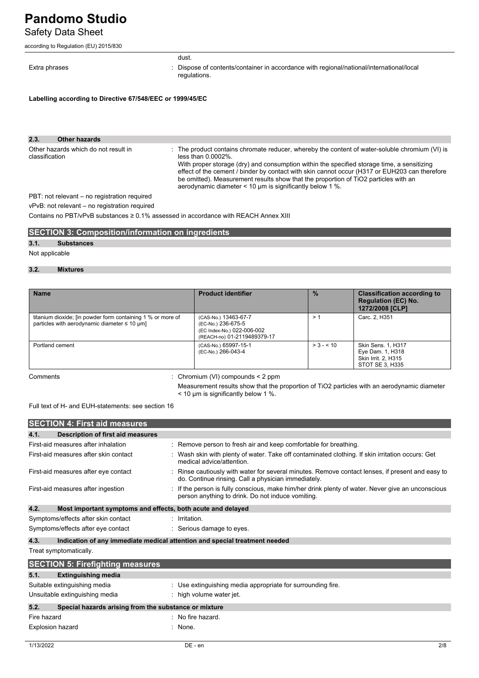Safety Data Sheet

according to Regulation (EU) 2015/830

#### dust.

Extra phrases **in the propert of contents** of contents/container in accordance with regional/national/international/local regulations.

**Labelling according to Directive 67/548/EEC or 1999/45/EC**

| 2.3.<br>Other hazards                                  |                                                                                                                                                                                                                                                                                                                                                                                                                                                                                 |
|--------------------------------------------------------|---------------------------------------------------------------------------------------------------------------------------------------------------------------------------------------------------------------------------------------------------------------------------------------------------------------------------------------------------------------------------------------------------------------------------------------------------------------------------------|
| Other hazards which do not result in<br>classification | : The product contains chromate reducer, whereby the content of water-soluble chromium (VI) is<br>less than $0.0002\%$ .<br>With proper storage (dry) and consumption within the specified storage time, a sensitizing<br>effect of the cement / binder by contact with skin cannot occur (H317 or EUH203 can therefore<br>be omitted). Measurement results show that the proportion of TiO2 particles with an<br>aerodynamic diameter $\leq 10$ µm is significantly below 1 %. |
| PBT: not relevant – no registration required           |                                                                                                                                                                                                                                                                                                                                                                                                                                                                                 |

vPvB: not relevant – no registration required

Contains no PBT/vPvB substances ≥ 0.1% assessed in accordance with REACH Annex XIII

#### **SECTION 3: Composition/information on ingredients**

#### **3.1. Substances**

Not applicable

#### **3.2. Mixtures**

| <b>Name</b>                                                                                                                      | <b>Product identifier</b>                                                                               | $\frac{9}{6}$ | <b>Classification according to</b><br><b>Regulation (EC) No.</b><br>1272/2008 [CLP] |
|----------------------------------------------------------------------------------------------------------------------------------|---------------------------------------------------------------------------------------------------------|---------------|-------------------------------------------------------------------------------------|
| titanium dioxide; [in powder form containing 1 % or more of<br>particles with aerodynamic diameter $\leq 10 \text{ }\mu\text{m}$ | (CAS-No.) 13463-67-7<br>(EC-No.) 236-675-5<br>(EC Index-No.) 022-006-002<br>(REACH-no) 01-2119489379-17 | $\geq$ $\sim$ | Carc. 2, H351                                                                       |
| Portland cement                                                                                                                  | (CAS-No.) 65997-15-1<br>(EC-No.) 266-043-4                                                              | $> 3 - 510$   | Skin Sens. 1, H317<br>Eye Dam. 1, H318<br>Skin Irrit. 2, H315<br>STOT SE 3, H335    |

Comments : Chromium (VI) compounds < 2 ppm

Measurement results show that the proportion of TiO2 particles with an aerodynamic diameter < 10 µm is significantly below 1 %.

Full text of H- and EUH-statements: see section 16

|             | <b>SECTION 4: First aid measures</b>                                       |  |                                                                                                                                                       |  |
|-------------|----------------------------------------------------------------------------|--|-------------------------------------------------------------------------------------------------------------------------------------------------------|--|
| 4.1.        | Description of first aid measures                                          |  |                                                                                                                                                       |  |
|             | First-aid measures after inhalation                                        |  | : Remove person to fresh air and keep comfortable for breathing.                                                                                      |  |
|             | First-aid measures after skin contact                                      |  | : Wash skin with plenty of water. Take off contaminated clothing. If skin irritation occurs: Get<br>medical advice/attention.                         |  |
|             | First-aid measures after eye contact                                       |  | Rinse cautiously with water for several minutes. Remove contact lenses, if present and easy to<br>do. Continue rinsing. Call a physician immediately. |  |
|             | First-aid measures after ingestion                                         |  | If the person is fully conscious, make him/her drink plenty of water. Never give an unconscious<br>person anything to drink. Do not induce vomiting.  |  |
| 4.2.        | Most important symptoms and effects, both acute and delayed                |  |                                                                                                                                                       |  |
|             | Symptoms/effects after skin contact                                        |  | $:$ Irritation.                                                                                                                                       |  |
|             | Symptoms/effects after eye contact                                         |  | : Serious damage to eyes.                                                                                                                             |  |
| 4.3.        | Indication of any immediate medical attention and special treatment needed |  |                                                                                                                                                       |  |
|             | Treat symptomatically.                                                     |  |                                                                                                                                                       |  |
|             | <b>SECTION 5: Firefighting measures</b>                                    |  |                                                                                                                                                       |  |
| 5.1.        | <b>Extinguishing media</b>                                                 |  |                                                                                                                                                       |  |
|             | Suitable extinguishing media                                               |  | : Use extinguishing media appropriate for surrounding fire.                                                                                           |  |
|             | Unsuitable extinguishing media                                             |  | : high volume water jet.                                                                                                                              |  |
| 5.2.        | Special hazards arising from the substance or mixture                      |  |                                                                                                                                                       |  |
| Fire hazard |                                                                            |  | $\therefore$ No fire hazard.                                                                                                                          |  |
|             | Explosion hazard                                                           |  | None.                                                                                                                                                 |  |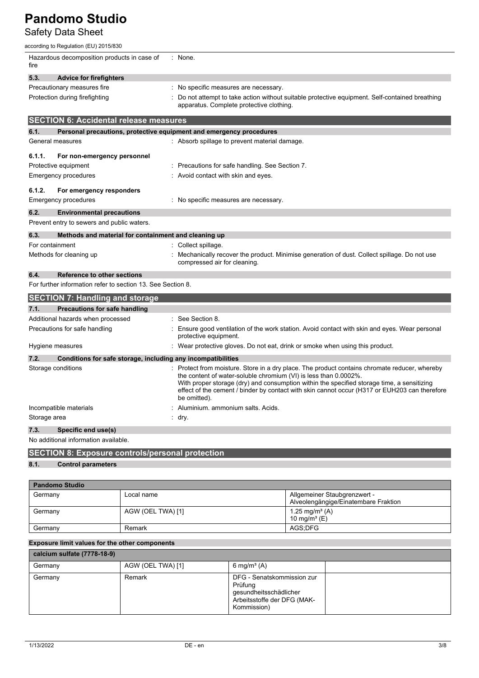Safety Data Sheet

according to Regulation (EU) 2015/830

| Hazardous decomposition products in case of<br>fire                  | : None.                                                                                                                                                                                                                                                                                                                                                                          |
|----------------------------------------------------------------------|----------------------------------------------------------------------------------------------------------------------------------------------------------------------------------------------------------------------------------------------------------------------------------------------------------------------------------------------------------------------------------|
| 5.3.<br><b>Advice for firefighters</b>                               |                                                                                                                                                                                                                                                                                                                                                                                  |
| Precautionary measures fire                                          | No specific measures are necessary.                                                                                                                                                                                                                                                                                                                                              |
| Protection during firefighting                                       | Do not attempt to take action without suitable protective equipment. Self-contained breathing<br>apparatus. Complete protective clothing.                                                                                                                                                                                                                                        |
| <b>SECTION 6: Accidental release measures</b>                        |                                                                                                                                                                                                                                                                                                                                                                                  |
| 6.1.                                                                 | Personal precautions, protective equipment and emergency procedures                                                                                                                                                                                                                                                                                                              |
| General measures                                                     | : Absorb spillage to prevent material damage.                                                                                                                                                                                                                                                                                                                                    |
| 6.1.1.<br>For non-emergency personnel                                |                                                                                                                                                                                                                                                                                                                                                                                  |
| Protective equipment                                                 | Precautions for safe handling. See Section 7.                                                                                                                                                                                                                                                                                                                                    |
| Emergency procedures                                                 | Avoid contact with skin and eyes.                                                                                                                                                                                                                                                                                                                                                |
| 6.1.2.<br>For emergency responders                                   |                                                                                                                                                                                                                                                                                                                                                                                  |
| Emergency procedures                                                 | : No specific measures are necessary.                                                                                                                                                                                                                                                                                                                                            |
| 6.2.<br><b>Environmental precautions</b>                             |                                                                                                                                                                                                                                                                                                                                                                                  |
| Prevent entry to sewers and public waters.                           |                                                                                                                                                                                                                                                                                                                                                                                  |
| 6.3.<br>Methods and material for containment and cleaning up         |                                                                                                                                                                                                                                                                                                                                                                                  |
| For containment                                                      | Collect spillage.                                                                                                                                                                                                                                                                                                                                                                |
| Methods for cleaning up                                              | Mechanically recover the product. Minimise generation of dust. Collect spillage. Do not use<br>compressed air for cleaning.                                                                                                                                                                                                                                                      |
| 6.4.<br><b>Reference to other sections</b>                           |                                                                                                                                                                                                                                                                                                                                                                                  |
| For further information refer to section 13. See Section 8.          |                                                                                                                                                                                                                                                                                                                                                                                  |
| <b>SECTION 7: Handling and storage</b>                               |                                                                                                                                                                                                                                                                                                                                                                                  |
| 7.1.<br><b>Precautions for safe handling</b>                         |                                                                                                                                                                                                                                                                                                                                                                                  |
| Additional hazards when processed                                    | : See Section 8.                                                                                                                                                                                                                                                                                                                                                                 |
| Precautions for safe handling                                        | Ensure good ventilation of the work station. Avoid contact with skin and eyes. Wear personal<br>protective equipment.                                                                                                                                                                                                                                                            |
| Hygiene measures                                                     | : Wear protective gloves. Do not eat, drink or smoke when using this product.                                                                                                                                                                                                                                                                                                    |
| 7.2.<br>Conditions for safe storage, including any incompatibilities |                                                                                                                                                                                                                                                                                                                                                                                  |
| Storage conditions                                                   | : Protect from moisture. Store in a dry place. The product contains chromate reducer, whereby<br>the content of water-soluble chromium (VI) is less than 0.0002%.<br>With proper storage (dry) and consumption within the specified storage time, a sensitizing<br>effect of the cement / binder by contact with skin cannot occur (H317 or EUH203 can therefore<br>be omitted). |
| Incompatible materials                                               | Aluminium. ammonium salts. Acids.                                                                                                                                                                                                                                                                                                                                                |
| Storage area                                                         | : dry.                                                                                                                                                                                                                                                                                                                                                                           |
| 7.3.<br>Specific end use(s)                                          |                                                                                                                                                                                                                                                                                                                                                                                  |
| No additional information available.                                 |                                                                                                                                                                                                                                                                                                                                                                                  |
| <b>SECTION 8: Exposure controls/personal protection</b>              |                                                                                                                                                                                                                                                                                                                                                                                  |

### **8.1. Control parameters**

| <b>Pandomo Studio</b> |                   |                                                                      |  |  |  |
|-----------------------|-------------------|----------------------------------------------------------------------|--|--|--|
| Germany               | Local name        | Allgemeiner Staubgrenzwert -<br>Alveolengängige/Einatembare Fraktion |  |  |  |
| Germany               | AGW (OEL TWA) [1] | 1.25 mg/m <sup>3</sup> (A)<br>10 mg/m <sup>3</sup> (E)               |  |  |  |
| Germany               | Remark            | AGS:DFG                                                              |  |  |  |

#### **Exposure limit values for the other components**

| calcium sulfate (7778-18-9) |                   |                                                                                                               |  |  |  |
|-----------------------------|-------------------|---------------------------------------------------------------------------------------------------------------|--|--|--|
| Germany                     | AGW (OEL TWA) [1] | 6 mg/m <sup>3</sup> (A)                                                                                       |  |  |  |
| Germany                     | Remark            | DFG - Senatskommission zur<br>Prüfung<br>gesundheitsschädlicher<br>Arbeitsstoffe der DFG (MAK-<br>Kommission) |  |  |  |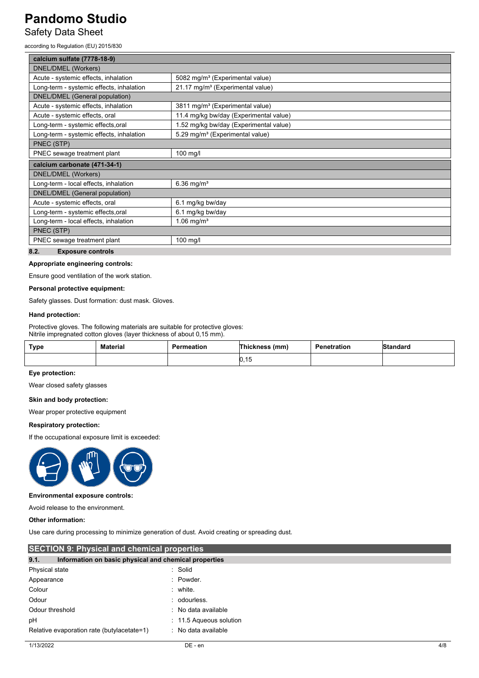Safety Data Sheet

according to Regulation (EU) 2015/830

| calcium sulfate (7778-18-9)              |                                              |  |  |  |
|------------------------------------------|----------------------------------------------|--|--|--|
| DNEL/DMEL (Workers)                      |                                              |  |  |  |
| Acute - systemic effects, inhalation     | 5082 mg/m <sup>3</sup> (Experimental value)  |  |  |  |
| Long-term - systemic effects, inhalation | 21.17 mg/m <sup>3</sup> (Experimental value) |  |  |  |
| <b>DNEL/DMEL</b> (General population)    |                                              |  |  |  |
| Acute - systemic effects, inhalation     | 3811 mg/m <sup>3</sup> (Experimental value)  |  |  |  |
| Acute - systemic effects, oral           | 11.4 mg/kg bw/day (Experimental value)       |  |  |  |
| Long-term - systemic effects, oral       | 1.52 mg/kg bw/day (Experimental value)       |  |  |  |
| Long-term - systemic effects, inhalation | 5.29 mg/m <sup>3</sup> (Experimental value)  |  |  |  |
| PNEC (STP)                               |                                              |  |  |  |
| PNEC sewage treatment plant<br>100 mg/l  |                                              |  |  |  |
| calcium carbonate (471-34-1)             |                                              |  |  |  |
| DNEL/DMEL (Workers)                      |                                              |  |  |  |
| Long-term - local effects, inhalation    | $6.36$ mg/m <sup>3</sup>                     |  |  |  |
| DNEL/DMEL (General population)           |                                              |  |  |  |
| Acute - systemic effects, oral           | 6.1 mg/kg bw/day                             |  |  |  |
| Long-term - systemic effects, oral       | 6.1 mg/kg bw/day                             |  |  |  |
| Long-term - local effects, inhalation    | 1.06 mg/ $m^3$                               |  |  |  |
| PNEC (STP)                               |                                              |  |  |  |
| PNEC sewage treatment plant              | 100 mg/l                                     |  |  |  |
| 8.2.<br><b>Exposure controls</b>         |                                              |  |  |  |

#### **Appropriate engineering controls:**

Ensure good ventilation of the work station.

#### **Personal protective equipment:**

Safety glasses. Dust formation: dust mask. Gloves.

#### **Hand protection:**

Protective gloves. The following materials are suitable for protective gloves: Nitrile impregnated cotton gloves (layer thickness of about 0,15 mm).

| Type | <b>Material</b><br>----------- | Permeation | (mm, | Penetration | Standard |
|------|--------------------------------|------------|------|-------------|----------|
|      |                                |            | ט וי |             |          |

#### **Eye protection:**

Wear closed safety glasses

#### **Skin and body protection:**

Wear proper protective equipment

#### **Respiratory protection:**

If the occupational exposure limit is exceeded:



#### **Environmental exposure controls:**

Avoid release to the environment.

#### **Other information:**

Use care during processing to minimize generation of dust. Avoid creating or spreading dust.

| <b>SECTION 9: Physical and chemical properties</b>            |                           |     |
|---------------------------------------------------------------|---------------------------|-----|
| 9.1.<br>Information on basic physical and chemical properties |                           |     |
| Physical state                                                | : Solid                   |     |
| Appearance                                                    | : Powder.                 |     |
| Colour                                                        | $:$ white.                |     |
| Odour                                                         | : odourless.              |     |
| Odour threshold                                               | : No data available       |     |
| рH                                                            | $: 11.5$ Aqueous solution |     |
| Relative evaporation rate (butylacetate=1)                    | : No data available       |     |
| 1/13/2022                                                     | $DE - en$                 | 4/8 |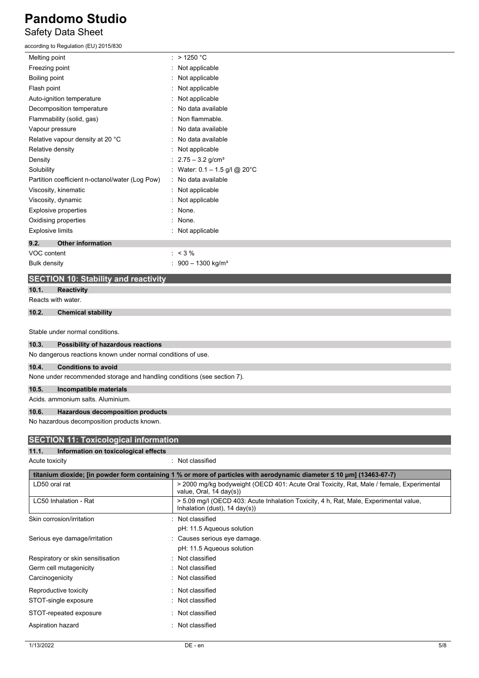### **Pandomo Studio** Safety Data Sheet

### according to Regulation (EU) 2015/830

| Melting point                                   | $:$ > 1250 °C                             |
|-------------------------------------------------|-------------------------------------------|
| Freezing point                                  | : Not applicable                          |
| Boiling point                                   | : Not applicable                          |
| Flash point                                     | Not applicable                            |
| Auto-ignition temperature                       | Not applicable                            |
| Decomposition temperature                       | No data available                         |
| Flammability (solid, gas)                       | Non flammable.                            |
| Vapour pressure                                 | No data available                         |
| Relative vapour density at 20 °C                | No data available                         |
| Relative density                                | Not applicable                            |
| Density                                         | : $2.75 - 3.2$ g/cm <sup>3</sup>          |
| Solubility                                      | : Water: $0.1 - 1.5$ g/l @ 20°C           |
| Partition coefficient n-octanol/water (Log Pow) | No data available                         |
| Viscosity, kinematic                            | : Not applicable                          |
| Viscosity, dynamic                              | Not applicable                            |
| Explosive properties                            | : None.                                   |
| Oxidising properties                            | None.                                     |
| <b>Explosive limits</b>                         | : Not applicable                          |
| 9.2.<br><b>Other information</b>                |                                           |
| VOC content                                     | $: < 3 \%$                                |
| <b>Bulk density</b>                             | $\therefore$ 900 - 1300 kg/m <sup>3</sup> |
|                                                 |                                           |

### **SECTION 10: Stability and reactivity**

### **10.1. Reactivity**

Reacts with water.

#### **10.2. Chemical stability**

Stable under normal conditions.

#### **10.3. Possibility of hazardous reactions**

No dangerous reactions known under normal conditions of use.

#### **10.4. Conditions to avoid**

None under recommended storage and handling conditions (see section 7).

#### **10.5. Incompatible materials**

Acids. ammonium salts. Aluminium.

#### **10.6. Hazardous decomposition products**

No hazardous decomposition products known.

| <b>SECTION 11: Toxicological information</b>  |                                                                                                                                   |
|-----------------------------------------------|-----------------------------------------------------------------------------------------------------------------------------------|
| Information on toxicological effects<br>11.1. |                                                                                                                                   |
| Acute toxicity                                | : Not classified                                                                                                                  |
|                                               | titanium dioxide; [in powder form containing 1 % or more of particles with aerodynamic diameter ≤ 10 µm] (13463-67-7)             |
| LD50 oral rat                                 | > 2000 mg/kg bodyweight (OECD 401: Acute Oral Toxicity, Rat, Male / female, Experimental<br>value, Oral, 14 day(s))               |
| LC50 Inhalation - Rat                         | > 5.09 mg/l (OECD 403: Acute Inhalation Toxicity, 4 h, Rat, Male, Experimental value,<br>Inhalation (dust), $14 \text{ day}(s)$ ) |
| Skin corrosion/irritation                     | : Not classified                                                                                                                  |
|                                               | pH: 11.5 Aqueous solution                                                                                                         |
| Serious eye damage/irritation                 | Causes serious eye damage.                                                                                                        |
|                                               | pH: 11.5 Aqueous solution                                                                                                         |
| Respiratory or skin sensitisation             | : Not classified                                                                                                                  |
| Germ cell mutagenicity                        | Not classified                                                                                                                    |
| Carcinogenicity                               | : Not classified                                                                                                                  |
| Reproductive toxicity                         | Not classified                                                                                                                    |
| STOT-single exposure                          | : Not classified                                                                                                                  |
| STOT-repeated exposure                        | : Not classified                                                                                                                  |
| Aspiration hazard                             | Not classified                                                                                                                    |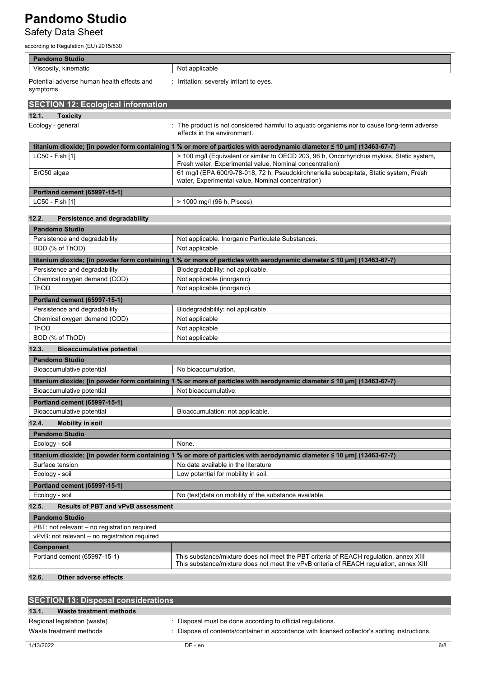Safety Data Sheet

according to Regulation (EU) 2015/830

| <b>Pandomo Studio</b>                                  |                                                                                                                                                     |
|--------------------------------------------------------|-----------------------------------------------------------------------------------------------------------------------------------------------------|
| Viscosity, kinematic                                   | Not applicable                                                                                                                                      |
| Potential adverse human health effects and<br>symptoms | : Irritation: severely irritant to eyes.                                                                                                            |
| <b>SECTION 12: Ecological information</b>              |                                                                                                                                                     |
|                                                        |                                                                                                                                                     |
| 12.1.<br><b>Toxicity</b><br>Ecology - general          | The product is not considered harmful to aquatic organisms nor to cause long-term adverse<br>effects in the environment.                            |
|                                                        | titanium dioxide; [in powder form containing 1 % or more of particles with aerodynamic diameter ≤ 10 µm] (13463-67-7)                               |
| LC50 - Fish [1]                                        | > 100 mg/l (Equivalent or similar to OECD 203, 96 h, Oncorhynchus mykiss, Static system,<br>Fresh water, Experimental value, Nominal concentration) |
| ErC50 algae                                            | 61 mg/l (EPA 600/9-78-018, 72 h, Pseudokirchneriella subcapitata, Static system, Fresh<br>water, Experimental value, Nominal concentration)         |
| <b>Portland cement (65997-15-1)</b>                    |                                                                                                                                                     |
| LC50 - Fish [1]                                        | > 1000 mg/l (96 h, Pisces)                                                                                                                          |
|                                                        |                                                                                                                                                     |
| 12.2.<br>Persistence and degradability                 |                                                                                                                                                     |
| <b>Pandomo Studio</b>                                  |                                                                                                                                                     |
| Persistence and degradability                          | Not applicable. Inorganic Particulate Substances.                                                                                                   |
| BOD (% of ThOD)                                        | Not applicable                                                                                                                                      |
|                                                        | titanium dioxide; [in powder form containing 1 % or more of particles with aerodynamic diameter ≤ 10 µm] (13463-67-7)                               |
| Persistence and degradability                          | Biodegradability: not applicable.                                                                                                                   |
| Chemical oxygen demand (COD)                           | Not applicable (inorganic)                                                                                                                          |
| <b>ThOD</b>                                            | Not applicable (inorganic)                                                                                                                          |
| <b>Portland cement (65997-15-1)</b>                    |                                                                                                                                                     |
| Persistence and degradability                          | Biodegradability: not applicable.                                                                                                                   |
| Chemical oxygen demand (COD)                           | Not applicable                                                                                                                                      |
| ThOD                                                   | Not applicable                                                                                                                                      |
| BOD (% of ThOD)                                        | Not applicable                                                                                                                                      |
| 12.3.<br><b>Bioaccumulative potential</b>              |                                                                                                                                                     |
| <b>Pandomo Studio</b>                                  |                                                                                                                                                     |
| Bioaccumulative potential                              | No bioaccumulation.                                                                                                                                 |
|                                                        | titanium dioxide; [in powder form containing 1 % or more of particles with aerodynamic diameter ≤ 10 µm] (13463-67-7)                               |
| Bioaccumulative potential                              | Not bioaccumulative.                                                                                                                                |
| <b>Portland cement (65997-15-1)</b>                    |                                                                                                                                                     |
| Bioaccumulative potential                              | Bioaccumulation: not applicable.                                                                                                                    |
| 12.4.<br><b>Mobility in soil</b>                       |                                                                                                                                                     |
| <b>Pandomo Studio</b>                                  |                                                                                                                                                     |
| Ecology - soil                                         | None.                                                                                                                                               |
|                                                        | titanium dioxide; [in powder form containing 1 % or more of particles with aerodynamic diameter ≤ 10 µm] (13463-67-7)                               |
| Surface tension                                        | No data available in the literature                                                                                                                 |
| Ecology - soil                                         | Low potential for mobility in soil.                                                                                                                 |
| <b>Portland cement (65997-15-1)</b>                    |                                                                                                                                                     |
| Ecology - soil                                         | No (test) data on mobility of the substance available.                                                                                              |
| 12.5.<br><b>Results of PBT and vPvB assessment</b>     |                                                                                                                                                     |
| <b>Pandomo Studio</b>                                  |                                                                                                                                                     |
| PBT: not relevant - no registration required           |                                                                                                                                                     |
| vPvB: not relevant - no registration required          |                                                                                                                                                     |
| Component                                              |                                                                                                                                                     |
| Portland cement (65997-15-1)                           | This substance/mixture does not meet the PBT criteria of REACH regulation, annex XIII                                                               |
| 12 <sub>6</sub><br>Other adverse effects               | This substance/mixture does not meet the vPvB criteria of REACH regulation, annex XIII                                                              |

#### **12.6. Other adverse effects**

| <b>SECTION 13: Disposal considerations</b> |                                                                                             |
|--------------------------------------------|---------------------------------------------------------------------------------------------|
| 13.1.<br>Waste treatment methods           |                                                                                             |
| Regional legislation (waste)               | Disposal must be done according to official regulations.                                    |
| Waste treatment methods                    | Dispose of contents/container in accordance with licensed collector's sorting instructions. |
|                                            |                                                                                             |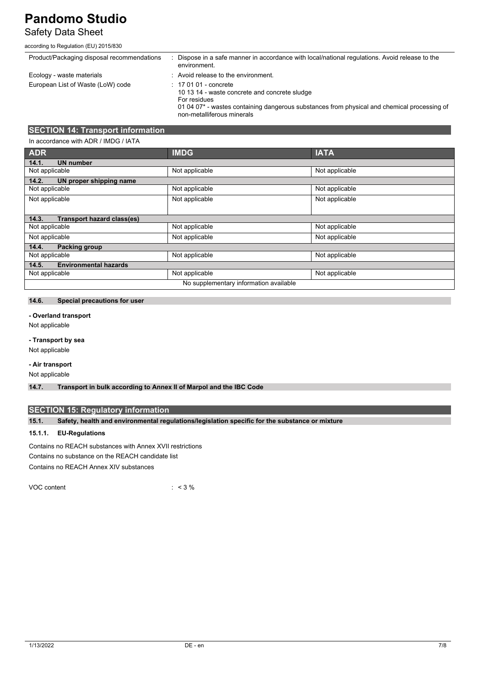# Safety Data Sheet

#### according to Regulation (EU) 2015/830

| Product/Packaging disposal recommendations | Dispose in a safe manner in accordance with local/national regulations. Avoid release to the<br>environment.                                                                                                                    |
|--------------------------------------------|---------------------------------------------------------------------------------------------------------------------------------------------------------------------------------------------------------------------------------|
| Ecology - waste materials                  | : Avoid release to the environment.                                                                                                                                                                                             |
| European List of Waste (LoW) code          | $: 170101$ - concrete<br>10 13 14 - waste concrete and concrete sludge<br>For residues<br>01 04 07 <sup>*</sup> - wastes containing dangerous substances from physical and chemical processing of<br>non-metalliferous minerals |

### **SECTION 14: Transport information**

| In accordance with ADR / IMDG / IATA   |                |                |
|----------------------------------------|----------------|----------------|
| <b>ADR</b>                             | <b>IMDG</b>    | <b>IATA</b>    |
| <b>UN number</b><br>14.1.              |                |                |
| Not applicable                         | Not applicable | Not applicable |
| 14.2.<br>UN proper shipping name       |                |                |
| Not applicable                         | Not applicable | Not applicable |
| Not applicable                         | Not applicable | Not applicable |
|                                        |                |                |
| Transport hazard class(es)<br>14.3.    |                |                |
| Not applicable                         | Not applicable | Not applicable |
| Not applicable                         | Not applicable | Not applicable |
| 14.4.<br>Packing group                 |                |                |
| Not applicable                         | Not applicable | Not applicable |
| <b>Environmental hazards</b><br>14.5.  |                |                |
| Not applicable                         | Not applicable | Not applicable |
| No supplementary information available |                |                |

#### **14.6. Special precautions for user**

#### **- Overland transport**

Not applicable

#### **- Transport by sea**

Not applicable

### **- Air transport**

Not applicable

**14.7. Transport in bulk according to Annex II of Marpol and the IBC Code**

### **SECTION 15: Regulatory information**

**15.1. Safety, health and environmental regulations/legislation specific for the substance or mixture**

#### **15.1.1. EU-Regulations**

Contains no REACH substances with Annex XVII restrictions Contains no substance on the REACH candidate list Contains no REACH Annex XIV substances

VOC content : < 3 %